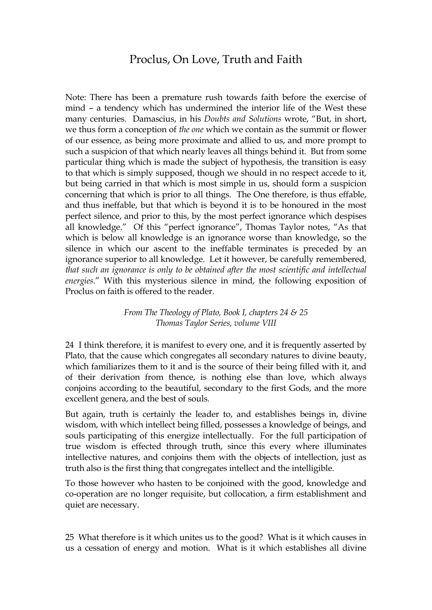## Proclus, On Love, Truth and Faith

Note: There has been a premature rush towards faith before the exercise of mind – a tendency which has undermined the interior life of the West these many centuries. Damascius, in his *Doubts and Solutions* wrote, "But, in short, we thus form a conception of *the one* which we contain as the summit or flower of our essence, as being more proximate and allied to us, and more prompt to such a suspicion of that which nearly leaves all things behind it. But from some particular thing which is made the subject of hypothesis, the transition is easy to that which is simply supposed, though we should in no respect accede to it, but being carried in that which is most simple in us, should form a suspicion concerning that which is prior to all things. The One therefore, is thus effable, and thus ineffable, but that which is beyond it is to be honoured in the most perfect silence, and prior to this, by the most perfect ignorance which despises all knowledge." Of this "perfect ignorance", Thomas Taylor notes, "As that which is below all knowledge is an ignorance worse than knowledge, so the silence in which our ascent to the ineffable terminates is preceded by an ignorance superior to all knowledge. Let it however, be carefully remembered*, that such an ignorance is only to be obtained after the most scientific and intellectual energies.*" With this mysterious silence in mind, the following exposition of Proclus on faith is offered to the reader.

> *From The Theology of Plato, Book I, chapters 24 & 25 Thomas Taylor Series, volume VIII*

24 I think therefore, it is manifest to every one, and it is frequently asserted by Plato, that the cause which congregates all secondary natures to divine beauty, which familiarizes them to it and is the source of their being filled with it, and of their derivation from thence, is nothing else than love, which always conjoins according to the beautiful, secondary to the first Gods, and the more excellent genera, and the best of souls.

But again, truth is certainly the leader to, and establishes beings in, divine wisdom, with which intellect being filled, possesses a knowledge of beings, and souls participating of this energize intellectually. For the full participation of true wisdom is effected through truth, since this every where illuminates intellective natures, and conjoins them with the objects of intellection, just as truth also is the first thing that congregates intellect and the intelligible.

To those however who hasten to be conjoined with the good, knowledge and co-operation are no longer requisite, but collocation, a firm establishment and quiet are necessary.

25 What therefore is it which unites us to the good? What is it which causes in us a cessation of energy and motion. What is it which establishes all divine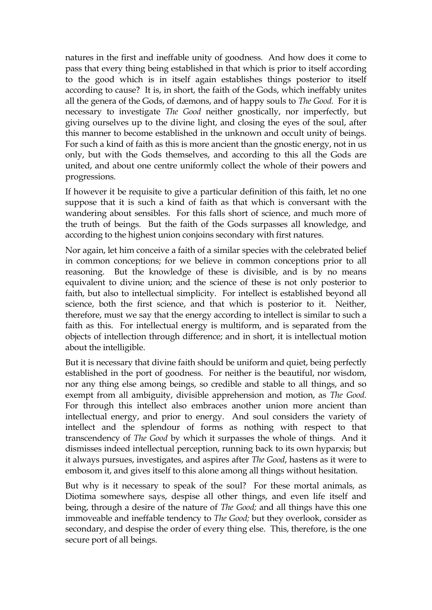natures in the first and ineffable unity of goodness. And how does it come to pass that every thing being established in that which is prior to itself according to the good which is in itself again establishes things posterior to itself according to cause? It is, in short, the faith of the Gods, which ineffably unites all the genera of the Gods, of dæmons, and of happy souls to *The Good.* For it is necessary to investigate *The Good* neither gnostically, nor imperfectly, but giving ourselves up to the divine light, and closing the eyes of the soul, after this manner to become established in the unknown and occult unity of beings. For such a kind of faith as this is more ancient than the gnostic energy, not in us only, but with the Gods themselves, and according to this all the Gods are united, and about one centre uniformly collect the whole of their powers and progressions.

If however it be requisite to give a particular definition of this faith, let no one suppose that it is such a kind of faith as that which is conversant with the wandering about sensibles. For this falls short of science, and much more of the truth of beings. But the faith of the Gods surpasses all knowledge, and according to the highest union conjoins secondary with first natures.

Nor again, let him conceive a faith of a similar species with the celebrated belief in common conceptions; for we believe in common conceptions prior to all reasoning. But the knowledge of these is divisible, and is by no means equivalent to divine union; and the science of these is not only posterior to faith, but also to intellectual simplicity. For intellect is established beyond all science, both the first science, and that which is posterior to it. Neither, therefore, must we say that the energy according to intellect is similar to such a faith as this. For intellectual energy is multiform, and is separated from the objects of intellection through difference; and in short, it is intellectual motion about the intelligible.

But it is necessary that divine faith should be uniform and quiet, being perfectly established in the port of goodness. For neither is the beautiful, nor wisdom, nor any thing else among beings, so credible and stable to all things, and so exempt from all ambiguity, divisible apprehension and motion, as *The Good.* For through this intellect also embraces another union more ancient than intellectual energy, and prior to energy. And soul considers the variety of intellect and the splendour of forms as nothing with respect to that transcendency of *The Good* by which it surpasses the whole of things. And it dismisses indeed intellectual perception, running back to its own hyparxis; but it always pursues, investigates, and aspires after *The Good*, hastens as it were to embosom it, and gives itself to this alone among all things without hesitation.

But why is it necessary to speak of the soul? For these mortal animals, as Diotima somewhere says, despise all other things, and even life itself and being, through a desire of the nature of *The Good;* and all things have this one immoveable and ineffable tendency to *The Good;* but they overlook, consider as secondary, and despise the order of every thing else. This, therefore, is the one secure port of all beings.